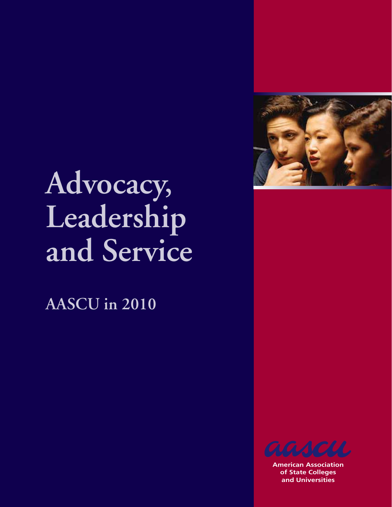

# **Advocacy, Leadership and Service**

**AASCU in 2010**



**American Association of State Colleges and Universities**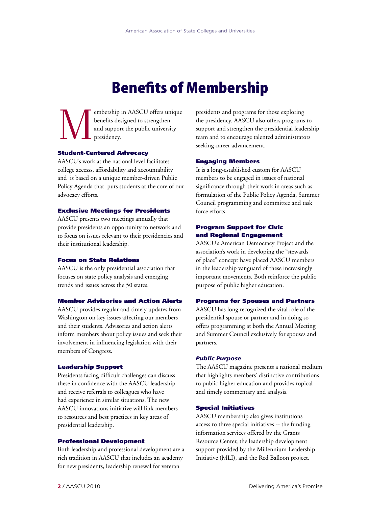## Benefits of Membership

embership in AASCU offers unique<br>benefits designed to strengthen<br>and support the public university<br>presidency. benefits designed to strengthen and support the public university presidency.

#### Student-Centered Advocacy

AASCU's work at the national level facilitates college accesss, affordability and accountability and is based on a unique member-driven Public Policy Agenda that puts students at the core of our advocacy efforts.

#### Exclusive Meetings for Presidents

AASCU presents two meetings annually that provide presidents an opportunity to network and to focus on issues relevant to their presidencies and their institutional leadership.

#### Focus on State Relations

AASCU is the only presidential association that focuses on state policy analysis and emerging trends and issues across the 50 states.

#### Member Advisories and Action Alerts

AASCU provides regular and timely updates from Washington on key issues affecting our members and their students. Advisories and action alerts inform members about policy issues and seek their involvement in influencing legislation with their members of Congress.

#### Leadership Support

Presidents facing difficult challenges can discuss these in confidence with the AASCU leadership and receive referrals to colleagues who have had experience in similar situations. The new AASCU innovations initiative will link members to resources and best practices in key areas of presidential leadership.

#### Professional Development

Both leadership and professional development are a rich tradition in AASCU that includes an academy for new presidents, leadership renewal for veteran

presidents and programs for those exploring the presidency. AASCU also offers programs to support and strengthen the presidential leadership team and to encourage talented administrators seeking career advancement.

#### Engaging Members

It is a long-established custom for AASCU members to be engaged in issues of national significance through their work in areas such as formulation of the Public Policy Agenda, Summer Council programming and committee and task force efforts.

#### Program Support for Civic and Regional Engagement

AASCU's American Democracy Project and the association's work in developing the "stewards of place" concept have placed AASCU members in the leadership vanguard of these increasingly important movements. Both reinforce the public purpose of public higher education.

#### Programs for Spouses and Partners

AASCU has long recognized the vital role of the presidential spouse or partner and in doing so offers programming at both the Annual Meeting and Summer Council exclusively for spouses and partners.

#### *Public Purpose*

The AASCU magazine presents a national medium that highlights members' distinctive contributions to public higher education and provides topical and timely commentary and analysis.

### Special Initiatives

AASCU membership also gives institutions access to three special initiatives -- the funding information services offered by the Grants Resource Center, the leadership development support provided by the Millennium Leadership Initiative (MLI), and the Red Balloon project.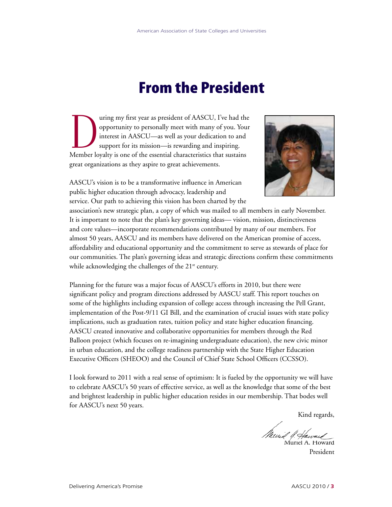## From the President

The uring my first year as president of AASCU, I've had the opportunity to personally meet with many of you. Your interest in AASCU—as well as your dedication to and support for its mission—is rewarding and inspiring.<br>Memb opportunity to personally meet with many of you. Your interest in AASCU—as well as your dedication to and support for its mission—is rewarding and inspiring. Member loyalty is one of the essential characteristics that sustains great organizations as they aspire to great achievements.



AASCU's vision is to be a transformative influence in American public higher education through advocacy, leadership and service. Our path to achieving this vision has been charted by the

association's new strategic plan, a copy of which was mailed to all members in early November. It is important to note that the plan's key governing ideas— vision, mission, distinctiveness and core values—incorporate recommendations contributed by many of our members. For almost 50 years, AASCU and its members have delivered on the American promise of access, affordability and educational opportunity and the commitment to serve as stewards of place for our communities. The plan's governing ideas and strategic directions confirm these commitments while acknowledging the challenges of the  $21<sup>st</sup>$  century.

Planning for the future was a major focus of AASCU's efforts in 2010, but there were significant policy and program directions addressed by AASCU staff. This report touches on some of the highlights including expansion of college access through increasing the Pell Grant, implementation of the Post-9/11 GI Bill, and the examination of crucial issues with state policy implications, such as graduation rates, tuition policy and state higher education financing. AASCU created innovative and collaborative opportunities for members through the Red Balloon project (which focuses on re-imagining undergraduate education), the new civic minor in urban education, and the college readiness partnership with the State Higher Education Executive Officers (SHEOO) and the Council of Chief State School Officers (CCSSO).

I look forward to 2011 with a real sense of optimism: It is fueled by the opportunity we will have to celebrate AASCU's 50 years of effective service, as well as the knowledge that some of the best and brightest leadership in public higher education resides in our membership. That bodes well for AASCU's next 50 years.

Kind regards,

Muril & Haward

President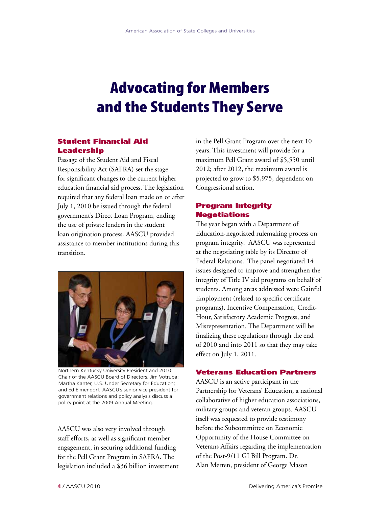## Advocating for Members and the Students They Serve

## Student Financial Aid Leadership

Passage of the Student Aid and Fiscal Responsibility Act (SAFRA) set the stage for significant changes to the current higher education financial aid process. The legislation required that any federal loan made on or after July 1, 2010 be issued through the federal government's Direct Loan Program, ending the use of private lenders in the student loan origination process. AASCU provided assistance to member institutions during this transition.



Northern Kentucky University President and 2010 Chair of the AASCU Board of Directors, Jim Votruba; Martha Kanter, U.S. Under Secretary for Education; and Ed Elmendorf, AASCU's senior vice president for government relations and policy analysis discuss a policy point at the 2009 Annual Meeting.

AASCU was also very involved through staff efforts, as well as significant member engagement, in securing additional funding for the Pell Grant Program in SAFRA. The legislation included a \$36 billion investment in the Pell Grant Program over the next 10 years. This investment will provide for a maximum Pell Grant award of \$5,550 until 2012; after 2012, the maximum award is projected to grow to \$5,975, dependent on Congressional action.

## Program Integrity Negotiations

The year began with a Department of Education-negotiated rulemaking process on program integrity. AASCU was represented at the negotiating table by its Director of Federal Relations. The panel negotiated 14 issues designed to improve and strengthen the integrity of Title IV aid programs on behalf of students. Among areas addressed were Gainful Employment (related to specific certificate programs), Incentive Compensation, Credit-Hour, Satisfactory Academic Progress, and Misrepresentation. The Department will be finalizing these regulations through the end of 2010 and into 2011 so that they may take effect on July 1, 2011.

## Veterans Education Partners

AASCU is an active participant in the Partnership for Veterans' Education, a national collaborative of higher education associations, military groups and veteran groups. AASCU itself was requested to provide testimony before the Subcommittee on Economic Opportunity of the House Committee on Veterans Affairs regarding the implementation of the Post-9/11 GI Bill Program. Dr. Alan Merten, president of George Mason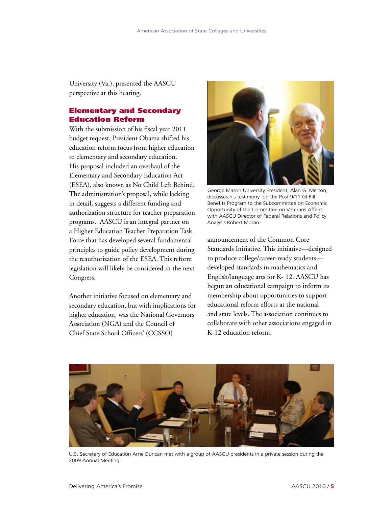University (Va.), presented the AASCU perspective at this hearing.

## Elementary and Secondary Education Reform

With the submission of his fiscal year 2011 budget request, President Obama shifted his education reform focus from higher education to elementary and secondary education. His proposal included an overhaul of the Elementary and Secondary Education Act (ESEA), also known as No Child Left Behind. The administration's proposal, while lacking in detail, suggests a different funding and authorization structure for teacher preparation programs. AASCU is an integral partner on a Higher Education Teacher Preparation Task Force that has developed several fundamental principles to guide policy development during the reauthorization of the ESEA. This reform legislation will likely be considered in the next Congress.

Another initiative focused on elementary and secondary education, but with implications for higher education, was the National Governors Association (NGA) and the Council of Chief State School Officers' (CCSSO)



George Mason University President, Alan G. Merton, discusses his testimony on the Post 9/11 GI Bill Benefits Program to the Subcommittee on Economic Opportunity of the Committee on Veterans Affairs with AASCU Director of Federal Relations and Policy Analysis Robert Moran.

announcement of the Common Core Standards Initiative. This initiative—designed to produce college/career-ready students developed standards in mathematics and English/language arts for K- 12. AASCU has begun an educational campaign to inform its membership about opportunities to support educational reform efforts at the national and state levels. The association continues to collaborate with other associations engaged in K-12 education reform.



U.S. Secretary of Education Arne Duncan met with a group of AASCU presidents in a private session during the 2009 Annual Meeting.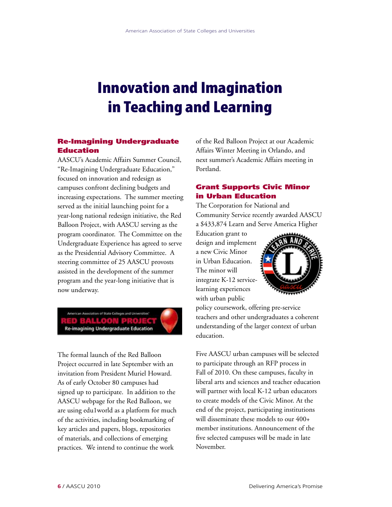## Innovation and Imagination in Teaching and Learning

## Re-Imagining Undergraduate Education

AASCU's Academic Affairs Summer Council, "Re-Imagining Undergraduate Education," focused on innovation and redesign as campuses confront declining budgets and increasing expectations. The summer meeting served as the initial launching point for a year-long national redesign initiative, the Red Balloon Project, with AASCU serving as the program coordinator. The Committee on the Undergraduate Experience has agreed to serve as the Presidential Advisory Committee. A steering committee of 25 AASCU provosts assisted in the development of the summer program and the year-long initiative that is now underway.

**RED BALLOON PROJEC**<br>Re-imagining Undergraduate Education

The formal launch of the Red Balloon Project occurred in late September with an invitation from President Muriel Howard. As of early October 80 campuses had signed up to participate. In addition to the AASCU webpage for the Red Balloon, we are using edu1world as a platform for much of the activities, including bookmarking of key articles and papers, blogs, repositories of materials, and collections of emerging practices. We intend to continue the work

of the Red Balloon Project at our Academic Affairs Winter Meeting in Orlando, and next summer's Academic Affairs meeting in Portland.

## Grant Supports Civic Minor in Urban Education

The Corporation for National and Community Service recently awarded AASCU a \$433,874 Learn and Serve America Higher

Education grant to design and implement a new Civic Minor in Urban Education. The minor will integrate K-12 servicelearning experiences with urban public



policy coursework, offering pre-service teachers and other undergraduates a coherent understanding of the larger context of urban education.

Five AASCU urban campuses will be selected to participate through an RFP process in Fall of 2010. On these campuses, faculty in liberal arts and sciences and teacher education will partner with local K-12 urban educators to create models of the Civic Minor. At the end of the project, participating institutions will disseminate these models to our 400+ member institutions. Announcement of the five selected campuses will be made in late November.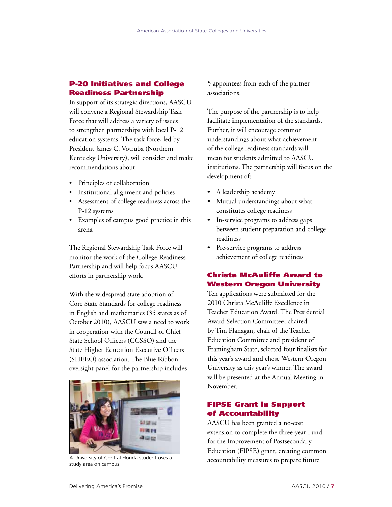## P-20 Initiatives and College Readiness Partnership

In support of its strategic directions, AASCU will convene a Regional Stewardship Task Force that will address a variety of issues to strengthen partnerships with local P-12 education systems. The task force, led by President James C. Votruba (Northern Kentucky University), will consider and make recommendations about:

- Principles of collaboration
- Institutional alignment and policies
- Assessment of college readiness across the P-12 systems
- Examples of campus good practice in this arena

The Regional Stewardship Task Force will monitor the work of the College Readiness Partnership and will help focus AASCU efforts in partnership work.

With the widespread state adoption of Core State Standards for college readiness in English and mathematics (35 states as of October 2010), AASCU saw a need to work in cooperation with the Council of Chief State School Officers (CCSSO) and the State Higher Education Executive Officers (SHEEO) association. The Blue Ribbon oversight panel for the partnership includes



study area on campus.

5 appointees from each of the partner associations.

The purpose of the partnership is to help facilitate implementation of the standards. Further, it will encourage common understandings about what achievement of the college readiness standards will mean for students admitted to AASCU institutions. The partnership will focus on the development of:

- A leadership academy
- Mutual understandings about what constitutes college readiness
- In-service programs to address gaps between student preparation and college readiness
- Pre-service programs to address achievement of college readiness

## Christa McAuliffe Award to Western Oregon University

Ten applications were submitted for the 2010 Christa McAuliffe Excellence in Teacher Education Award. The Presidential Award Selection Committee, chaired by Tim Flanagan, chair of the Teacher Education Committee and president of Framingham State, selected four finalists for this year's award and chose Western Oregon University as this year's winner. The award will be presented at the Annual Meeting in November.

## FIPSE Grant in Support of Accountability

AASCU has been granted a no-cost extension to complete the three-year Fund for the Improvement of Postsecondary Education (FIPSE) grant, creating common A University of Central Florida student uses a a accountability measures to prepare future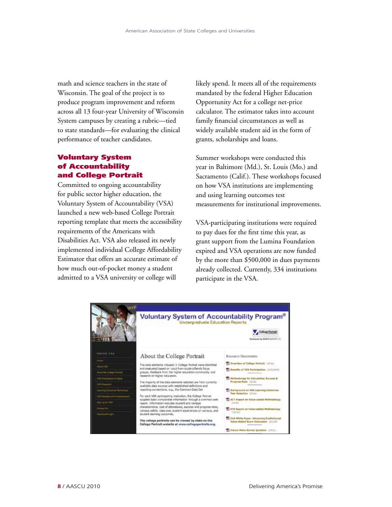math and science teachers in the state of Wisconsin. The goal of the project is to produce program improvement and reform across all 13 four-year University of Wisconsin System campuses by creating a rubric—tied to state standards—for evaluating the clinical performance of teacher candidates.

## Voluntary System of Accountability and College Portrait

Committed to ongoing accountability for public sector higher education, the Voluntary System of Accountability (VSA) launched a new web-based College Portrait reporting template that meets the accessibility requirements of the Americans with Disabilities Act. VSA also released its newly implemented individual College Affordability Estimator that offers an accurate estimate of how much out-of-pocket money a student admitted to a VSA university or college will

likely spend. It meets all of the requirements mandated by the federal Higher Education Opportunity Act for a college net-price calculator. The estimator takes into account family financial circumstances as well as widely available student aid in the form of grants, scholarships and loans.

Summer workshops were conducted this year in Baltimore (Md.), St. Louis (Mo.) and Sacramento (Calif.). These workshops focused on how VSA institutions are implementing and using learning outcomes test measurements for institutional improvements.

VSA-participating institutions were required to pay dues for the first time this year, as grant support from the Lumina Foundation expired and VSA operations are now funded by the more than \$500,000 in dues payments already collected. Currently, 334 institutions participate in the VSA.

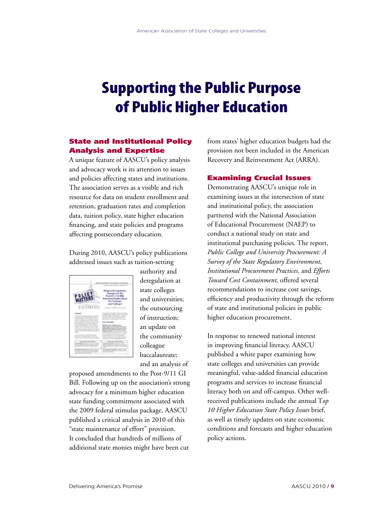## Supporting the Public Purpose of Public Higher Education

## State and Institutional Policy Analysis and Expertise

A unique feature of AASCU's policy analysis and advocacy work is its attention to issues and policies affecting states and institutions. The association serves as a visible and rich resource for data on student enrollment and retention, graduation rates and completion data, tuition policy, state higher education financing, and state policies and programs affecting postsecondary education.

During 2010, AASCU's policy publications addressed issues such as tuition-setting



authority and deregulation at state colleges and universities; the outsourcing of instruction; an update on the community colleague baccalaureate; and an analysis of

proposed amendments to the Post-9/11 GI Bill. Following up on the association's strong advocacy for a minimum higher education state funding commitment associated with the 2009 federal stimulus package, AASCU published a critical analysis in 2010 of this "state maintenance of effort" provision. It concluded that hundreds of millions of additional state monies might have been cut

from states' higher education budgets had the provision not been included in the American Recovery and Reinvestment Act (ARRA).

### Examining Crucial Issues

Demonstrating AASCU's unique role in examining issues at the intersection of state and institutional policy, the association partnered with the National Association of Educational Procurement (NAEP) to conduct a national study on state and institutional purchasing policies. The report, *Public College and University Procurement: A Survey of the State Regulatory Environment, Institutional Procurement Practices,* and *Efforts Toward Cost Containment,* offered several recommendations to increase cost savings, efficiency and productivity through the reform of state and institutional policies in public higher education procurement.

In response to renewed national interest in improving financial literacy, AASCU published a white paper examining how state colleges and universities can provide meaningful, value-added financial education programs and services to increase financial literacy both on and off-campus. Other wellreceived publications include the annual T*op 10 Higher Education State Policy Issues* brief, as well as timely updates on state economic conditions and forecasts and higher education policy actions.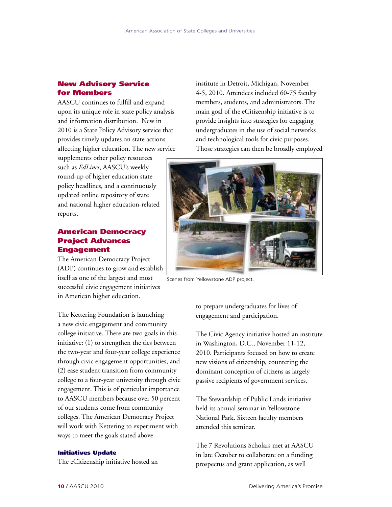## New Advisory Service for Members

AASCU continues to fulfill and expand upon its unique role in state policy analysis and information distribution. New in 2010 is a State Policy Advisory service that provides timely updates on state actions affecting higher education. The new service

supplements other policy resources such as *EdLines*, AASCU's weekly round-up of higher education state policy headlines, and a continuously updated online repository of state and national higher education-related reports.

## American Democracy Project Advances Engagement

The American Democracy Project (ADP) continues to grow and establish itself as one of the largest and most successful civic engagement initiatives in American higher education.

The Kettering Foundation is launching a new civic engagement and community college initiative. There are two goals in this initiative: (1) to strengthen the ties between the two-year and four-year college experience through civic engagement opportunities; and (2) ease student transition from community college to a four-year university through civic engagement. This is of particular importance to AASCU members because over 50 percent of our students come from community colleges. The American Democracy Project will work with Kettering to experiment with ways to meet the goals stated above.

#### Initiatives Update

The eCitizenship initiative hosted an

institute in Detroit, Michigan, November 4-5, 2010. Attendees included 60-75 faculty members, students, and administrators. The main goal of the eCitizenship initiative is to provide insights into strategies for engaging undergraduates in the use of social networks and technological tools for civic purposes. Those strategies can then be broadly employed



Scenes from Yellowstone ADP project.

to prepare undergraduates for lives of engagement and participation.

The Civic Agency initiative hosted an institute in Washington, D.C., November 11-12, 2010. Participants focused on how to create new visions of citizenship, countering the dominant conception of citizens as largely passive recipients of government services.

The Stewardship of Public Lands initiative held its annual seminar in Yellowstone National Park. Sixteen faculty members attended this seminar.

The 7 Revolutions Scholars met at AASCU in late October to collaborate on a funding prospectus and grant application, as well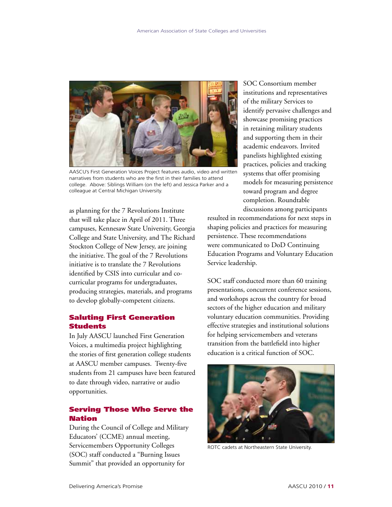

AASCU's First Generation Voices Project features audio, video and written narratives from students who are the first in their families to attend college. Above: Siblings William (on the left) and Jessica Parker and a colleague at Central Michigan University.

as planning for the 7 Revolutions Institute that will take place in April of 2011. Three campuses, Kennesaw State University, Georgia College and State University, and The Richard Stockton College of New Jersey, are joining the initiative. The goal of the 7 Revolutions initiative is to translate the 7 Revolutions identified by CSIS into curricular and cocurricular programs for undergraduates, producing strategies, materials, and programs to develop globally-competent citizens.

## Saluting First Generation Students

In July AASCU launched First Generation Voices, a multimedia project highlighting the stories of first generation college students at AASCU member campuses. Twenty-five students from 21 campuses have been featured to date through video, narrative or audio opportunities.

## Serving Those Who Serve the Nation

During the Council of College and Military Educators' (CCME) annual meeting, Servicemembers Opportunity Colleges (SOC) staff conducted a "Burning Issues Summit" that provided an opportunity for

SOC Consortium member institutions and representatives of the military Services to identify pervasive challenges and showcase promising practices in retaining military students and supporting them in their academic endeavors. Invited panelists highlighted existing practices, policies and tracking systems that offer promising models for measuring persistence toward program and degree completion. Roundtable discussions among participants

resulted in recommendations for next steps in shaping policies and practices for measuring persistence. These recommendations were communicated to DoD Continuing Education Programs and Voluntary Education Service leadership.

SOC staff conducted more than 60 training presentations, concurrent conference sessions, and workshops across the country for broad sectors of the higher education and military voluntary education communities. Providing effective strategies and institutional solutions for helping servicemembers and veterans transition from the battlefield into higher education is a critical function of SOC.



ROTC cadets at Northeastern State University.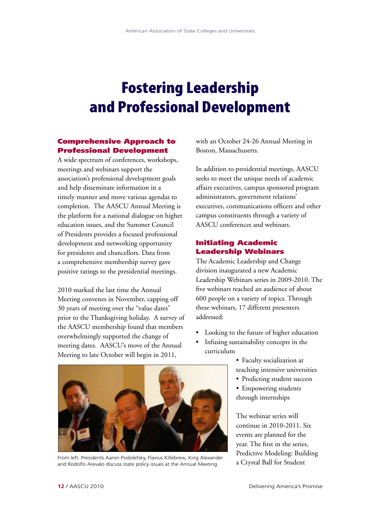## Fostering Leadership and Professional Development

## Comprehensive Approach to Professional Development

A wide spectrum of conferences, workshops, meetings and webinars support the association's professional development goals and help disseminate information in a timely manner and move various agendas to completion. The AASCU Annual Meeting is the platform for a national dialogue on higher education issues, and the Summer Council of Presidents provides a focused professional development and networking opportunity for presidents and chancellors. Data from a comprehensive membership survey gave positive ratings to the presidential meetings.

2010 marked the last time the Annual Meeting convenes in November, capping off 30 years of meeting over the "value dates" prior to the Thanksgiving holiday. A survey of the AASCU membership found that members overwhelmingly supported the change of meeting dates. AASCU's move of the Annual Meeting to late October will begin in 2011,

with an October 24-26 Annual Meeting in Boston, Massachusetts.

In addition to presidential meetings, AASCU seeks to meet the unique needs of academic affairs executives, campus sponsored program administrators, government relations' executives, communications officers and other campus constituents through a variety of AASCU conferences and webinars.

## Initiating Academic Leadership Webinars

The Academic Leadership and Change division inaugurated a new Academic Leadership Webinars series in 2009-2010. The five webinars reached an audience of about 600 people on a variety of topics. Through these webinars, 17 different presenters addressed:

- Looking to the future of higher education
- Infusing sustainability concepts in the curriculum
	- Faculty socialization at teaching intensive universities
	- Predicting student success
	- Empowering students through internships

The webinar series will continue in 2010-2011. Six events are planned for the year. The first in the series, Predictive Modeling: Building



From left: Presidents Aaron Podolefsky, Flavius Killebrew, King Alexander From Latexander Student and Rodolfo Arevalo discuss state policy issues at the Annual Meeting. The Crystal Ball for Student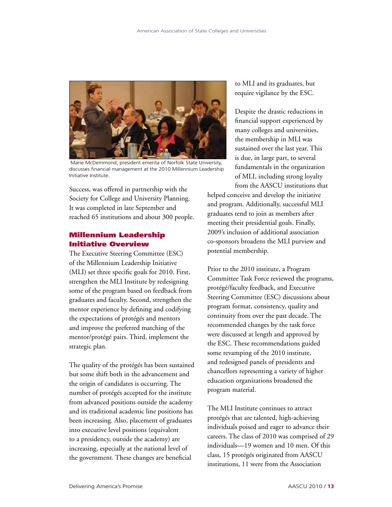

 Marie McDemmond, president emerita of Norfolk State University, discusses financial management at the 2010 Millennium Leadership Initiative Institute.

Success, was offered in partnership with the Society for College and University Planning. It was completed in late September and reached 65 institutions and about 300 people.

## Millennium Leadership Initiative Overview

The Executive Steering Committee (ESC) of the Millennium Leadership Initiative (MLI) set three specific goals for 2010. First, strengthen the MLI Institute by redesigning some of the program based on feedback from graduates and faculty. Second, strengthen the mentor experience by defining and codifying the expectations of protégés and mentors and improve the preferred matching of the mentor/protégé pairs. Third, implement the strategic plan.

The quality of the protégés has been sustained but some shift both in the advancement and the origin of candidates is occurring. The number of protégés accepted for the institute from advanced positions outside the academy and its traditional academic line positions has been increasing. Also, placement of graduates into executive level positions (equivalent to a presidency, outside the academy) are increasing, especially at the national level of the government. These changes are beneficial

to MLI and its graduates, but require vigilance by the ESC.

Despite the drastic reductions in financial support experienced by many colleges and universities, the membership in MLI was sustained over the last year. This is due, in large part, to several fundamentals in the organization of MLI, including strong loyalty from the AASCU institutions that

helped conceive and develop the initiative and program. Additionally, successful MLI graduates tend to join as members after meeting their presidential goals. Finally, 2009's inclusion of additional association co-sponsors broadens the MLI purview and potential membership.

Prior to the 2010 institute, a Program Committee Task Force reviewed the programs, protégé/faculty feedback, and Executive Steering Committee (ESC) discussions about program format, consistency, quality and continuity from over the past decade. The recommended changes by the task force were discussed at length and approved by the ESC. These recommendations guided some revamping of the 2010 institute, and redesigned panels of presidents and chancellors representing a variety of higher education organizations broadened the program material.

The MLI Institute continues to attract protégés that are talented, high-achieving individuals poised and eager to advance their careers. The class of 2010 was comprised of 29 individuals—19 women and 10 men. Of this class, 15 protégés originated from AASCU institutions, 11 were from the Association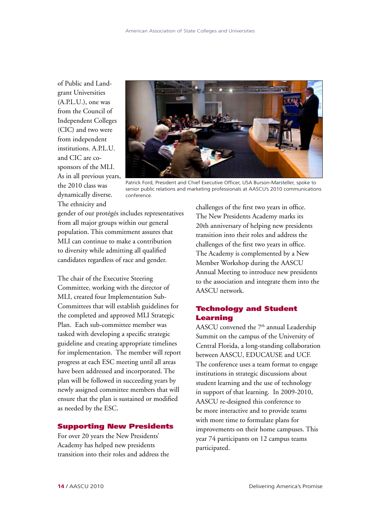of Public and Landgrant Universities (A.P.L.U.), one was from the Council of Independent Colleges (CIC) and two were from independent institutions. A.P.L.U. and CIC are cosponsors of the MLI. As in all previous years, the 2010 class was dynamically diverse. The ethnicity and



Patrick Ford, President and Chief Executive Officer, USA Burson-Marsteller, spoke to senior public relations and marketing professionals at AASCU's 2010 communications conference.

gender of our protégés includes representatives from all major groups within our general population. This commitment assures that MLI can continue to make a contribution to diversity while admitting all qualified candidates regardless of race and gender.

The chair of the Executive Steering Committee, working with the director of MLI, created four Implementation Sub-Committees that will establish guidelines for the completed and approved MLI Strategic Plan. Each sub-committee member was tasked with developing a specific strategic guideline and creating appropriate timelines for implementation. The member will report progress at each ESC meeting until all areas have been addressed and incorporated. The plan will be followed in succeeding years by newly assigned committee members that will ensure that the plan is sustained or modified as needed by the ESC.

## Supporting New Presidents

For over 20 years the New Presidents' Academy has helped new presidents transition into their roles and address the challenges of the first two years in office. The New Presidents Academy marks its 20th anniversary of helping new presidents transition into their roles and address the challenges of the first two years in office. The Academy is complemented by a New Member Workshop during the AASCU Annual Meeting to introduce new presidents to the association and integrate them into the AASCU network.

### Technology and Student Learning

AASCU convened the  $7<sup>th</sup>$  annual Leadership Summit on the campus of the University of Central Florida, a long-standing collaboration between AASCU, EDUCAUSE and UCF. The conference uses a team format to engage institutions in strategic discussions about student learning and the use of technology in support of that learning. In 2009-2010, AASCU re-designed this conference to be more interactive and to provide teams with more time to formulate plans for improvements on their home campuses. This year 74 participants on 12 campus teams participated.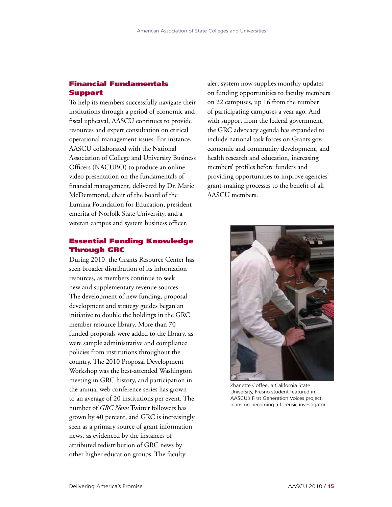## Financial Fundamentals **Support**

To help its members successfully navigate their institutions through a period of economic and fiscal upheaval, AASCU continues to provide resources and expert consultation on critical operational management issues. For instance, AASCU collaborated with the National Association of College and University Business Officers (NACUBO) to produce an online video presentation on the fundamentals of financial management, delivered by Dr. Marie McDemmond, chair of the board of the Lumina Foundation for Education, president emerita of Norfolk State University, and a veteran campus and system business officer.

## Essential Funding Knowledge Through GRC

During 2010, the Grants Resource Center has seen broader distribution of its information resources, as members continue to seek new and supplementary revenue sources. The development of new funding, proposal development and strategy guides began an initiative to double the holdings in the GRC member resource library. More than 70 funded proposals were added to the library, as were sample administrative and compliance policies from institutions throughout the country. The 2010 Proposal Development Workshop was the best-attended Washington meeting in GRC history, and participation in the annual web conference series has grown to an average of 20 institutions per event. The number of *GRC News* Twitter followers has grown by 40 percent, and GRC is increasingly seen as a primary source of grant information news, as evidenced by the instances of attributed redistribution of GRC news by other higher education groups. The faculty

alert system now supplies monthly updates on funding opportunities to faculty members on 22 campuses, up 16 from the number of participating campuses a year ago. And with support from the federal government, the GRC advocacy agenda has expanded to include national task forces on Grants.gov, economic and community development, and health research and education, increasing members' profiles before funders and providing opportunities to improve agencies' grant-making processes to the benefit of all AASCU members.



Zhanette Coffee, a California State University, Fresno student featured in AASCU's First Generation Voices project, plans on becoming a forensic investigator.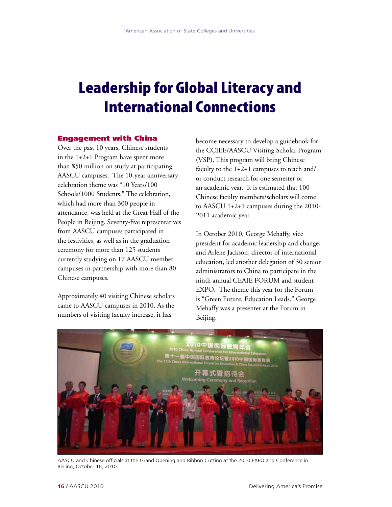## Leadership for Global Literacy and International Connections

#### Engagement with China

Over the past 10 years, Chinese students in the 1+2+1 Program have spent more than \$50 million on study at participating AASCU campuses. The 10-year anniversary celebration theme was "10 Years/100 Schools/1000 Students." The celebration, which had more than 300 people in attendance, was held at the Great Hall of the People in Beijing. Seventy-five representatives from AASCU campuses participated in the festivities, as well as in the graduation ceremony for more than 125 students currently studying on 17 AASCU member campuses in partnership with more than 80 Chinese campuses.

Approximately 40 visiting Chinese scholars came to AASCU campuses in 2010. As the numbers of visiting faculty increase, it has

become necessary to develop a guidebook for the CCIEE/AASCU Visiting Scholar Program (VSP). This program will bring Chinese faculty to the 1+2+1 campuses to teach and/ or conduct research for one semester or an academic year. It is estimated that 100 Chinese faculty members/scholars will come to AASCU 1+2+1 campuses during the 2010- 2011 academic year.

In October 2010, George Mehaffy, vice president for academic leadership and change, and Arlene Jackson, director of international education, led another delegation of 30 senior administrators to China to participate in the ninth annual CEAIE FORUM and student EXPO. The theme this year for the Forum is "Green Future, Education Leads." George Mehaffy was a presenter at the Forum in Beijing.



AASCU and Chinese officials at the Grand Opening and Ribbon Cutting at the 2010 EXPO and Conference in Beijing, October 16, 2010.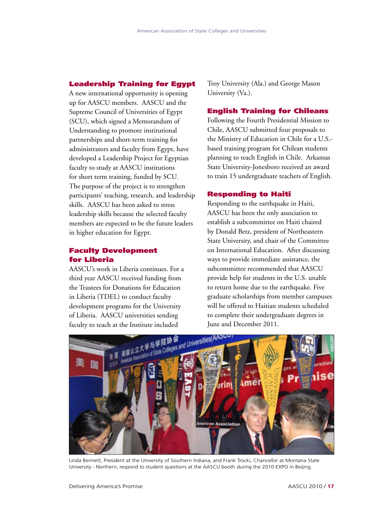## Leadership Training for Egypt

A new international opportunity is opening up for AASCU members. AASCU and the Supreme Council of Universities of Egypt (SCU), which signed a Memorandum of Understanding to promote institutional partnerships and short-term training for administrators and faculty from Egypt, have developed a Leadership Project for Egyptian faculty to study at AASCU institutions for short term training, funded by SCU. The purpose of the project is to strengthen participants' teaching, research, and leadership skills. AASCU has been asked to stress leadership skills because the selected faculty members are expected to be the future leaders in higher education for Egypt.

## Faculty Development for Liberia

AASCU's work in Liberia continues. For a third year AASCU received funding from the Trustees for Donations for Education in Liberia (TDEL) to conduct faculty development programs for the University of Liberia. AASCU universities sending faculty to teach at the Institute included

Troy University (Ala.) and George Mason University (Va.).

### English Training for Chileans

Following the Fourth Presidential Mission to Chile, AASCU submitted four proposals to the Ministry of Education in Chile for a U.S. based training program for Chilean students planning to teach English in Chile. Arkansas State University-Jonesboro received an award to train 15 undergraduate teachers of English.

### Responding to Haiti

Responding to the earthquake in Haiti, AASCU has been the only association to establish a subcommittee on Haiti chaired by Donald Betz, president of Northeastern State University, and chair of the Committee on International Education. After discussing ways to provide immediate assistance, the subcommittee recommended that AASCU provide help for students in the U.S. unable to return home due to the earthquake. Five graduate scholarships from member campuses will be offered to Haitian students scheduled to complete their undergraduate degrees in June and December 2011.



Linda Bennett, President at the University of Southern Indiana, and Frank Trocki, Chancellor at Montana State University - Northern, respond to student questions at the AASCU booth during the 2010 EXPO in Beijing.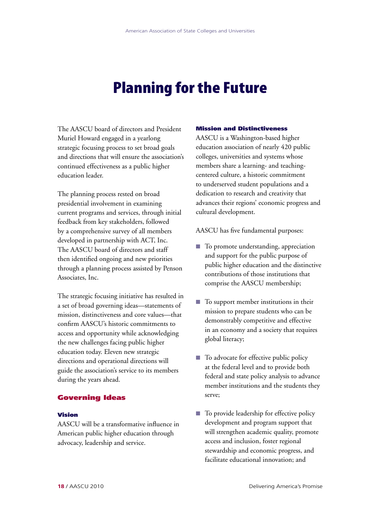## Planning for the Future

The AASCU board of directors and President Muriel Howard engaged in a yearlong strategic focusing process to set broad goals and directions that will ensure the association's continued effectiveness as a public higher education leader.

The planning process rested on broad presidential involvement in examining current programs and services, through initial feedback from key stakeholders, followed by a comprehensive survey of all members developed in partnership with ACT, Inc. The AASCU board of directors and staff then identified ongoing and new priorities through a planning process assisted by Penson Associates, Inc.

The strategic focusing initiative has resulted in a set of broad governing ideas—statements of mission, distinctiveness and core values—that confirm AASCU's historic commitments to access and opportunity while acknowledging the new challenges facing public higher education today. Eleven new strategic directions and operational directions will guide the association's service to its members during the years ahead.

## Governing Ideas

### Vision

AASCU will be a transformative influence in American public higher education through advocacy, leadership and service.

#### Mission and Distinctiveness

AASCU is a Washington-based higher education association of nearly 420 public colleges, universities and systems whose members share a learning- and teachingcentered culture, a historic commitment to underserved student populations and a dedication to research and creativity that advances their regions' economic progress and cultural development.

AASCU has five fundamental purposes:

- To promote understanding, appreciation and support for the public purpose of public higher education and the distinctive contributions of those institutions that comprise the AASCU membership;
- $\blacksquare$  To support member institutions in their mission to prepare students who can be demonstrably competitive and effective in an economy and a society that requires global literacy;
- To advocate for effective public policy at the federal level and to provide both federal and state policy analysis to advance member institutions and the students they serve;
- $\blacksquare$  To provide leadership for effective policy development and program support that will strengthen academic quality, promote access and inclusion, foster regional stewardship and economic progress, and facilitate educational innovation; and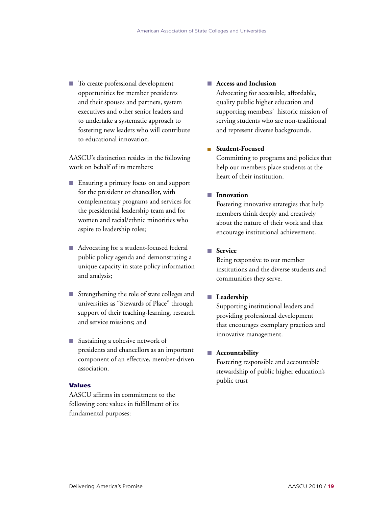■ To create professional development opportunities for member presidents and their spouses and partners, system executives and other senior leaders and to undertake a systematic approach to fostering new leaders who will contribute to educational innovation.

AASCU's distinction resides in the following work on behalf of its members:

- Ensuring a primary focus on and support for the president or chancellor, with complementary programs and services for the presidential leadership team and for women and racial/ethnic minorities who aspire to leadership roles;
- Advocating for a student-focused federal public policy agenda and demonstrating a unique capacity in state policy information and analysis;
- $\blacksquare$  Strengthening the role of state colleges and universities as "Stewards of Place" through support of their teaching-learning, research and service missions; and
- $\blacksquare$  Sustaining a cohesive network of presidents and chancellors as an important component of an effective, member-driven association.

#### Values

AASCU affirms its commitment to the following core values in fulfillment of its fundamental purposes:

### ■ Access and Inclusion

Advocating for accessible, affordable, quality public higher education and supporting members' historic mission of serving students who are non-traditional and represent diverse backgrounds.

### <sup>n</sup> **Student-Focused**

Committing to programs and policies that help our members place students at the heart of their institution.

### **n** Innovation

Fostering innovative strategies that help members think deeply and creatively about the nature of their work and that encourage institutional achievement.

### **n** Service

Being responsive to our member institutions and the diverse students and communities they serve.

### **n** Leadership

Supporting institutional leaders and providing professional development that encourages exemplary practices and innovative management.

#### **n** Accountability

Fostering responsible and accountable stewardship of public higher education's public trust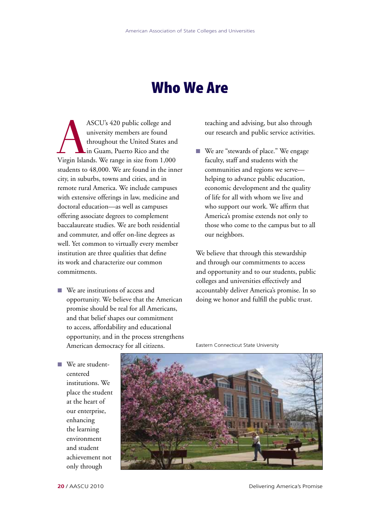## Who We Are

ASCU's 420 public college and<br>
university members are found<br>
throughout the United States and<br>
in Guam, Puerto Rico and the<br>
Virgin Islands. We range in size from 1,000 university members are found throughout the United States and in Guam, Puerto Rico and the students to 48,000. We are found in the inner city, in suburbs, towns and cities, and in remote rural America. We include campuses with extensive offerings in law, medicine and doctoral education—as well as campuses offering associate degrees to complement baccalaureate studies. We are both residential and commuter, and offer on-line degrees as well. Yet common to virtually every member institution are three qualities that define its work and characterize our common commitments.

 $\blacksquare$  We are institutions of access and opportunity. We believe that the American promise should be real for all Americans, and that belief shapes our commitment to access, affordability and educational opportunity, and in the process strengthens American democracy for all citizens.

teaching and advising, but also through our research and public service activities.

■ We are "stewards of place." We engage faculty, staff and students with the communities and regions we serve helping to advance public education, economic development and the quality of life for all with whom we live and who support our work. We affirm that America's promise extends not only to those who come to the campus but to all our neighbors.

We believe that through this stewardship and through our commitments to access and opportunity and to our students, public colleges and universities effectively and accountably deliver America's promise. In so doing we honor and fulfill the public trust.

■ We are studentcentered institutions. We place the student at the heart of our enterprise, enhancing the learning environment and student achievement not only through



Eastern Connecticut State University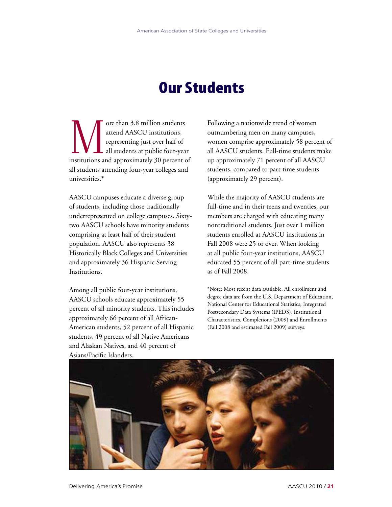## Our Students

ore than 3.8 million students<br>attend AASCU institutions,<br>representing just over half of<br>all students at public four-yea attend AASCU institutions, representing just over half of all students at public four-year institutions and approximately 30 percent of all students attending four-year colleges and universities.\*

AASCU campuses educate a diverse group of students, including those traditionally underrepresented on college campuses. Sixtytwo AASCU schools have minority students comprising at least half of their student population. AASCU also represents 38 Historically Black Colleges and Universities and approximately 36 Hispanic Serving Institutions.

Among all public four-year institutions, AASCU schools educate approximately 55 percent of all minority students. This includes approximately 66 percent of all African-American students, 52 percent of all Hispanic students, 49 percent of all Native Americans and Alaskan Natives, and 40 percent of Asians/Pacific Islanders.

Following a nationwide trend of women outnumbering men on many campuses, women comprise approximately 58 percent of all AASCU students. Full-time students make up approximately 71 percent of all AASCU students, compared to part-time students (approximately 29 percent).

While the majority of AASCU students are full-time and in their teens and twenties, our members are charged with educating many nontraditional students. Just over 1 million students enrolled at AASCU institutions in Fall 2008 were 25 or over. When looking at all public four-year institutions, AASCU educated 55 percent of all part-time students as of Fall 2008.

\*Note: Most recent data available. All enrollment and degree data are from the U.S. Department of Education, National Center for Educational Statistics, Integrated Postsecondary Data Systems (IPEDS), Institutional Characteristics, Completions (2009) and Enrollments (Fall 2008 and estimated Fall 2009) surveys.

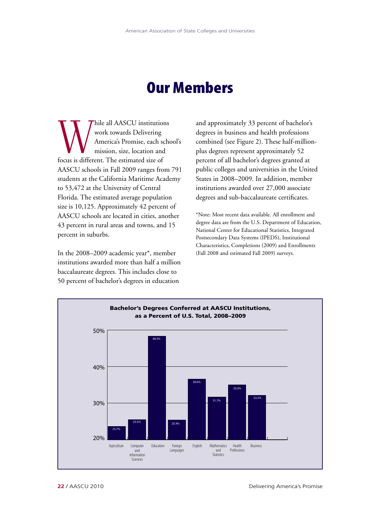## Our Members

While all AASCU institutions<br>
work towards Delivering<br>
America's Promise, each school<br>
mission, size, location and<br>
focus is different. The estimated size of work towards Delivering America's Promise, each school's mission, size, location and AASCU schools in Fall 2009 ranges from 791 students at the California Maritime Academy to 53,472 at the University of Central Florida. The estimated average population size is 10,125. Approximately 42 percent of AASCU schools are located in cities, another 43 percent in rural areas and towns, and 15 percent in suburbs.

In the 2008–2009 academic year\*, member institutions awarded more than half a million baccalaureate degrees. This includes close to 50 percent of bachelor's degrees in education

and approximately 33 percent of bachelor's degrees in business and health professions combined (see Figure 2). These half-millionplus degrees represent approximately 52 percent of all bachelor's degrees granted at public colleges and universities in the United States in 2008–2009. In addition, member institutions awarded over 27,000 associate degrees and sub-baccalaureate certificates.

\*Note: Most recent data available. All enrollment and degree data are from the U.S. Department of Education, National Center for Educational Statistics, Integrated Postsecondary Data Systems (IPEDS), Institutional Characteristics, Completions (2009) and Enrollments (Fall 2008 and estimated Fall 2009) surveys.

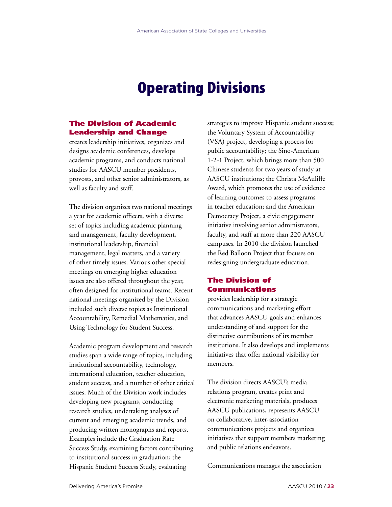## Operating Divisions

## The Division of Academic Leadership and Change

creates leadership initiatives, organizes and designs academic conferences, develops academic programs, and conducts national studies for AASCU member presidents, provosts, and other senior administrators, as well as faculty and staff.

The division organizes two national meetings a year for academic officers, with a diverse set of topics including academic planning and management, faculty development, institutional leadership, financial management, legal matters, and a variety of other timely issues. Various other special meetings on emerging higher education issues are also offered throughout the year, often designed for institutional teams. Recent national meetings organized by the Division included such diverse topics as Institutional Accountability, Remedial Mathematics, and Using Technology for Student Success.

Academic program development and research studies span a wide range of topics, including institutional accountability, technology, international education, teacher education, student success, and a number of other critical issues. Much of the Division work includes developing new programs, conducting research studies, undertaking analyses of current and emerging academic trends, and producing written monographs and reports. Examples include the Graduation Rate Success Study, examining factors contributing to institutional success in graduation; the Hispanic Student Success Study, evaluating

strategies to improve Hispanic student success; the Voluntary System of Accountability (VSA) project, developing a process for public accountability; the Sino-American 1-2-1 Project, which brings more than 500 Chinese students for two years of study at AASCU institutions; the Christa McAuliffe Award, which promotes the use of evidence of learning outcomes to assess programs in teacher education; and the American Democracy Project, a civic engagement initiative involving senior administrators, faculty, and staff at more than 220 AASCU campuses. In 2010 the division launched the Red Balloon Project that focuses on redesigning undergraduate education.

## The Division of Communications

provides leadership for a strategic communications and marketing effort that advances AASCU goals and enhances understanding of and support for the distinctive contributions of its member institutions. It also develops and implements initiatives that offer national visibility for members.

The division directs AASCU's media relations program, creates print and electronic marketing materials, produces AASCU publications, represents AASCU on collaborative, inter-association communications projects and organizes initiatives that support members marketing and public relations endeavors.

Communications manages the association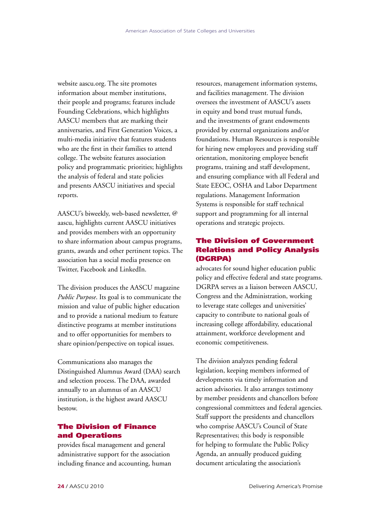website aascu.org. The site promotes information about member institutions, their people and programs; features include Founding Celebrations, which highlights AASCU members that are marking their anniversaries, and First Generation Voices, a multi-media initiative that features students who are the first in their families to attend college. The website features association policy and programmatic priorities; highlights the analysis of federal and state policies and presents AASCU initiatives and special reports.

AASCU's biweekly, web-based newsletter, @ aascu, highlights current AASCU initiatives and provides members with an opportunity to share information about campus programs, grants, awards and other pertinent topics. The association has a social media presence on Twitter, Facebook and LinkedIn.

The division produces the AASCU magazine *Public Purpose*. Its goal is to communicate the mission and value of public higher education and to provide a national medium to feature distinctive programs at member institutions and to offer opportunities for members to share opinion/perspective on topical issues.

Communications also manages the Distinguished Alumnus Award (DAA) search and selection process. The DAA, awarded annually to an alumnus of an AASCU institution, is the highest award AASCU bestow.

## The Division of Finance and Operations

provides fiscal management and general administrative support for the association including finance and accounting, human

resources, management information systems, and facilities management. The division oversees the investment of AASCU's assets in equity and bond trust mutual funds, and the investments of grant endowments provided by external organizations and/or foundations. Human Resources is responsible for hiring new employees and providing staff orientation, monitoring employee benefit programs, training and staff development, and ensuring compliance with all Federal and State EEOC, OSHA and Labor Department regulations. Management Information Systems is responsible for staff technical support and programming for all internal operations and strategic projects.

## The Division of Government Relations and Policy Analysis (DGRPA)

advocates for sound higher education public policy and effective federal and state programs. DGRPA serves as a liaison between AASCU, Congress and the Administration, working to leverage state colleges and universities' capacity to contribute to national goals of increasing college affordability, educational attainment, workforce development and economic competitiveness.

The division analyzes pending federal legislation, keeping members informed of developments via timely information and action advisories. It also arranges testimony by member presidents and chancellors before congressional committees and federal agencies. Staff support the presidents and chancellors who comprise AASCU's Council of State Representatives; this body is responsible for helping to formulate the Public Policy Agenda, an annually produced guiding document articulating the association's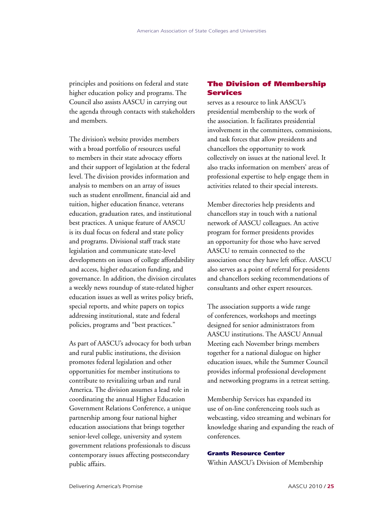principles and positions on federal and state higher education policy and programs. The Council also assists AASCU in carrying out the agenda through contacts with stakeholders and members.

The division's website provides members with a broad portfolio of resources useful to members in their state advocacy efforts and their support of legislation at the federal level. The division provides information and analysis to members on an array of issues such as student enrollment, financial aid and tuition, higher education finance, veterans education, graduation rates, and institutional best practices. A unique feature of AASCU is its dual focus on federal and state policy and programs. Divisional staff track state legislation and communicate state-level developments on issues of college affordability and access, higher education funding, and governance. In addition, the division circulates a weekly news roundup of state-related higher education issues as well as writes policy briefs, special reports, and white papers on topics addressing institutional, state and federal policies, programs and "best practices."

As part of AASCU's advocacy for both urban and rural public institutions, the division promotes federal legislation and other opportunities for member institutions to contribute to revitalizing urban and rural America. The division assumes a lead role in coordinating the annual Higher Education Government Relations Conference, a unique partnership among four national higher education associations that brings together senior-level college, university and system government relations professionals to discuss contemporary issues affecting postsecondary public affairs.

## The Division of Membership Services

serves as a resource to link AASCU's presidential membership to the work of the association. It facilitates presidential involvement in the committees, commissions, and task forces that allow presidents and chancellors the opportunity to work collectively on issues at the national level. It also tracks information on members' areas of professional expertise to help engage them in activities related to their special interests.

Member directories help presidents and chancellors stay in touch with a national network of AASCU colleagues. An active program for former presidents provides an opportunity for those who have served AASCU to remain connected to the association once they have left office. AASCU also serves as a point of referral for presidents and chancellors seeking recommendations of consultants and other expert resources.

The association supports a wide range of conferences, workshops and meetings designed for senior administrators from AASCU institutions. The AASCU Annual Meeting each November brings members together for a national dialogue on higher education issues, while the Summer Council provides informal professional development and networking programs in a retreat setting.

Membership Services has expanded its use of on-line conferenceing tools such as webcasting, video streaming and webinars for knowledge sharing and expanding the reach of conferences.

### Grants Resource Center

Within AASCU's Division of Membership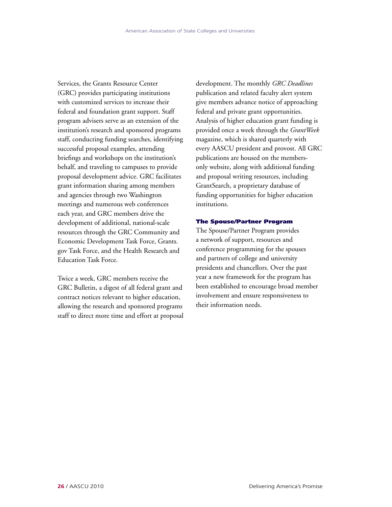Services, the Grants Resource Center (GRC) provides participating institutions with customized services to increase their federal and foundation grant support. Staff program advisers serve as an extension of the institution's research and sponsored programs staff, conducting funding searches, identifying successful proposal examples, attending briefings and workshops on the institution's behalf, and traveling to campuses to provide proposal development advice. GRC facilitates grant information sharing among members and agencies through two Washington meetings and numerous web conferences each year, and GRC members drive the development of additional, national-scale resources through the GRC Community and Economic Development Task Force, Grants. gov Task Force, and the Health Research and Education Task Force.

Twice a week, GRC members receive the GRC Bulletin, a digest of all federal grant and contract notices relevant to higher education, allowing the research and sponsored programs staff to direct more time and effort at proposal

development. The monthly *GRC Deadlines*  publication and related faculty alert system give members advance notice of approaching federal and private grant opportunities. Analysis of higher education grant funding is provided once a week through the *GrantWeek* magazine, which is shared quarterly with every AASCU president and provost. All GRC publications are housed on the membersonly website, along with additional funding and proposal writing resources, including GrantSearch, a proprietary database of funding opportunities for higher education institutions.

#### The Spouse/Partner Program

The Spouse/Partner Program provides a network of support, resources and conference programming for the spouses and partners of college and university presidents and chancellors. Over the past year a new framework for the program has been established to encourage broad member involvement and ensure responsiveness to their information needs.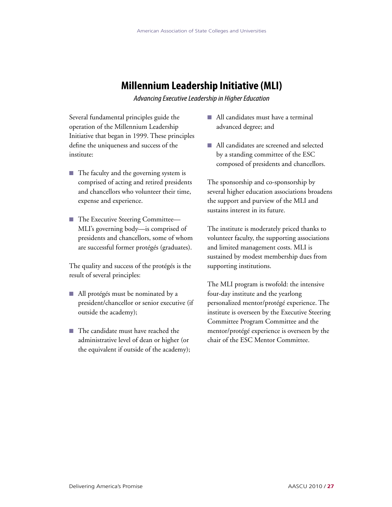## **Millennium Leadership Initiative (MLI)**

*Advancing Executive Leadership in Higher Education*

Several fundamental principles guide the operation of the Millennium Leadership Initiative that began in 1999. These principles define the uniqueness and success of the institute:

- $\blacksquare$  The faculty and the governing system is comprised of acting and retired presidents and chancellors who volunteer their time, expense and experience.
- The Executive Steering Committee— MLI's governing body—is comprised of presidents and chancellors, some of whom are successful former protégés (graduates).

The quality and success of the protégés is the result of several principles:

- $\blacksquare$  All protégés must be nominated by a president/chancellor or senior executive (if outside the academy);
- The candidate must have reached the administrative level of dean or higher (or the equivalent if outside of the academy);
- n All candidates must have a terminal advanced degree; and
- n All candidates are screened and selected by a standing committee of the ESC composed of presidents and chancellors.

The sponsorship and co-sponsorship by several higher education associations broadens the support and purview of the MLI and sustains interest in its future.

The institute is moderately priced thanks to volunteer faculty, the supporting associations and limited management costs. MLI is sustained by modest membership dues from supporting institutions.

The MLI program is twofold: the intensive four-day institute and the yearlong personalized mentor/protégé experience. The institute is overseen by the Executive Steering Committee Program Committee and the mentor/protégé experience is overseen by the chair of the ESC Mentor Committee.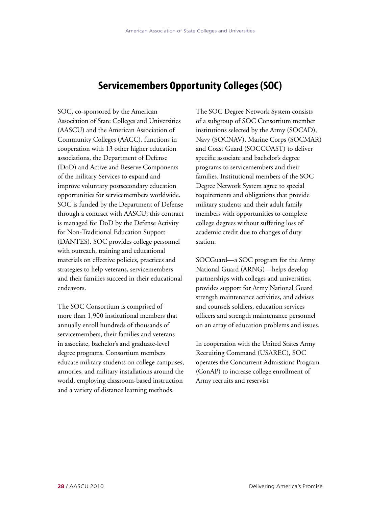## **Servicemembers Opportunity Colleges (SOC)**

SOC, co-sponsored by the American Association of State Colleges and Universities (AASCU) and the American Association of Community Colleges (AACC), functions in cooperation with 13 other higher education associations, the Department of Defense (DoD) and Active and Reserve Components of the military Services to expand and improve voluntary postsecondary education opportunities for servicemembers worldwide. SOC is funded by the Department of Defense through a contract with AASCU; this contract is managed for DoD by the Defense Activity for Non-Traditional Education Support (DANTES). SOC provides college personnel with outreach, training and educational materials on effective policies, practices and strategies to help veterans, servicemembers and their families succeed in their educational endeavors.

The SOC Consortium is comprised of more than 1,900 institutional members that annually enroll hundreds of thousands of servicemembers, their families and veterans in associate, bachelor's and graduate-level degree programs. Consortium members educate military students on college campuses, armories, and military installations around the world, employing classroom-based instruction and a variety of distance learning methods.

The SOC Degree Network System consists of a subgroup of SOC Consortium member institutions selected by the Army (SOCAD), Navy (SOCNAV), Marine Corps (SOCMAR) and Coast Guard (SOCCOAST) to deliver specific associate and bachelor's degree programs to servicemembers and their families. Institutional members of the SOC Degree Network System agree to special requirements and obligations that provide military students and their adult family members with opportunities to complete college degrees without suffering loss of academic credit due to changes of duty station.

SOCGuard—a SOC program for the Army National Guard (ARNG)—helps develop partnerships with colleges and universities, provides support for Army National Guard strength maintenance activities, and advises and counsels soldiers, education services officers and strength maintenance personnel on an array of education problems and issues.

In cooperation with the United States Army Recruiting Command (USAREC), SOC operates the Concurrent Admissions Program (ConAP) to increase college enrollment of Army recruits and reservist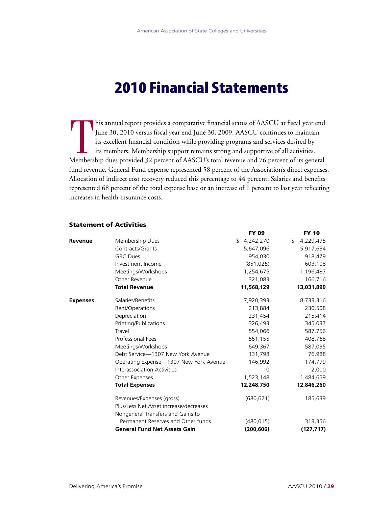## 2010 Financial Statements

**THE Members** his annual report provides a comparative financial status of AASCU at fiscal year end June 30, 2010 versus fiscal year end June 30, 2009. AASCU continues to maintain its excellent financial condition while providing programs and services desired by its members. Membership support remains strong and supportive of all activities. Membership dues provided 32 percent of AASCU's total revenue and 76 percent of its general fund revenue. General Fund expense represented 58 percent of the Association's direct expenses. Allocation of indirect cost recovery reduced this percentage to 44 percent. Salaries and benefits represented 68 percent of the total expense base or an increase of 1 percent to last year reflecting increases in health insurance costs.

### Statement of Activities

|                 |                                        | <b>FY 09</b>    | <b>FY 10</b>    |
|-----------------|----------------------------------------|-----------------|-----------------|
| Revenue         | Membership Dues                        | 4,242,270<br>\$ | 4,229,475<br>\$ |
|                 | Contracts/Grants                       | 5,647,096       | 5,917,634       |
|                 | <b>GRC Dues</b>                        | 954,030         | 918,479         |
|                 | Investment Income                      | (851, 025)      | 603,108         |
|                 | Meetings/Workshops                     | 1,254,675       | 1,196,487       |
|                 | Other Revenue                          | 321,083         | 166,716         |
|                 | <b>Total Revenue</b>                   | 11,568,129      | 13,031,899      |
| <b>Expenses</b> | Salaries/Benefits                      | 7,920,393       | 8,733,316       |
|                 | Rent/Operations                        | 213,884         | 230,508         |
|                 | Depreciation                           | 231,454         | 215,414         |
|                 | Printing/Publications                  | 326,493         | 345,037         |
|                 | Travel                                 | 554,066         | 587,756         |
|                 | <b>Professional Fees</b>               | 551,155         | 408,768         |
|                 | Meetings/Workshops                     | 649,367         | 587,035         |
|                 | Debt Service-1307 New York Avenue      | 131,798         | 76,988          |
|                 | Operating Expense—1307 New York Avenue | 146,992         | 174,779         |
|                 | Interassociation Activities            | 0               | 2,000           |
|                 | Other Expenses                         | 1,523,148       | 1,484,659       |
|                 | <b>Total Expenses</b>                  | 12,248,750      | 12,846,260      |
|                 | Revenues/Expenses (gross)              | (680, 621)      | 185,639         |
|                 | Plus/Less Net Asset increase/decreases |                 |                 |
|                 | Nongeneral Transfers and Gains to      |                 |                 |
|                 | Permanent Reserves and Other funds     | (480, 015)      | 313,356         |
|                 | <b>General Fund Net Assets Gain</b>    | (200, 606)      | (127, 717)      |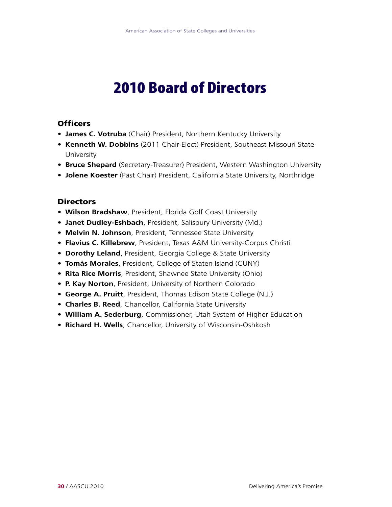## 2010 Board of Directors

## **Officers**

- **James C. Votruba** (Chair) President, Northern Kentucky University
- **Kenneth W. Dobbins** (2011 Chair-Elect) President, Southeast Missouri State University
- **Bruce Shepard** (Secretary-Treasurer) President, Western Washington University
- **Jolene Koester** (Past Chair) President, California State University, Northridge

## **Directors**

- **Wilson Bradshaw**, President, Florida Golf Coast University
- **Janet Dudley-Eshbach**, President, Salisbury University (Md.)
- **Melvin N. Johnson**, President, Tennessee State University
- **Flavius C. Killebrew**, President, Texas A&M University-Corpus Christi
- **Dorothy Leland**, President, Georgia College & State University
- **Tomás Morales**, President, College of Staten Island (CUNY)
- **Rita Rice Morris**, President, Shawnee State University (Ohio)
- **P. Kay Norton**, President, University of Northern Colorado
- **George A. Pruitt**, President, Thomas Edison State College (N.J.)
- **Charles B. Reed**, Chancellor, California State University
- **William A. Sederburg**, Commissioner, Utah System of Higher Education
- **Richard H. Wells**, Chancellor, University of Wisconsin-Oshkosh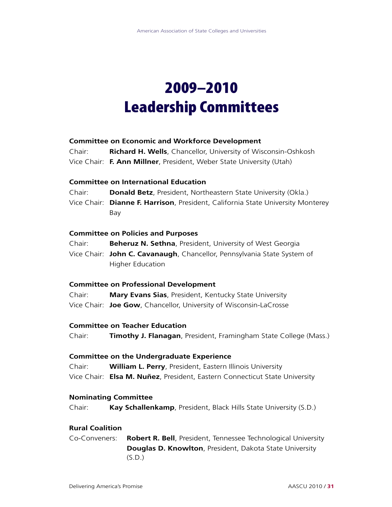## 2009–2010 Leadership Committees

## **Committee on Economic and Workforce Development**

| Chair: | <b>Richard H. Wells, Chancellor, University of Wisconsin-Oshkosh</b> |
|--------|----------------------------------------------------------------------|
|        | Vice Chair: F. Ann Millner, President, Weber State University (Utah) |

## **Committee on International Education**

Chair: **Donald Betz**, President, Northeastern State University (Okla.)

Vice Chair: **Dianne F. Harrison**, President, California State University Monterey Bay

### **Committee on Policies and Purposes**

Chair: **Beheruz N. Sethna**, President, University of West Georgia

Vice Chair: **John C. Cavanaugh**, Chancellor, Pennsylvania State System of Higher Education

### **Committee on Professional Development**

Chair: **Mary Evans Sias**, President, Kentucky State University Vice Chair: **Joe Gow**, Chancellor, University of Wisconsin-LaCrosse

## **Committee on Teacher Education**

Chair: **Timothy J. Flanagan**, President, Framingham State College (Mass.)

## **Committee on the Undergraduate Experience**

Chair: **William L. Perry**, President, Eastern Illinois University Vice Chair: **Elsa M. Nuñez**, President, Eastern Connecticut State University

### **Nominating Committee**

Chair: **Kay Schallenkamp**, President, Black Hills State University (S.D.)

### **Rural Coalition**

Co-Conveners: **Robert R. Bell**, President, Tennessee Technological University **Douglas D. Knowlton**, President, Dakota State University  $(S.D.)$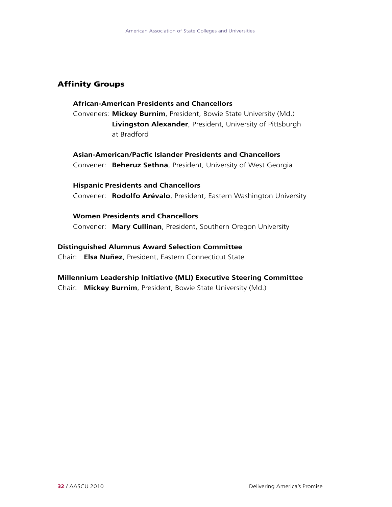## Affinity Groups

## **African-American Presidents and Chancellors**

Conveners: **Mickey Burnim**, President, Bowie State University (Md.) **Livingston Alexander**, President, University of Pittsburgh at Bradford

**Asian-American/Pacfic Islander Presidents and Chancellors** Convener: **Beheruz Sethna**, President, University of West Georgia

**Hispanic Presidents and Chancellors** Convener: **Rodolfo Arévalo**, President, Eastern Washington University

**Women Presidents and Chancellors** Convener: **Mary Cullinan**, President, Southern Oregon University

## **Distinguished Alumnus Award Selection Committee**

Chair: **Elsa Nuñez**, President, Eastern Connecticut State

## **Millennium Leadership Initiative (MLI) Executive Steering Committee**

Chair: **Mickey Burnim**, President, Bowie State University (Md.)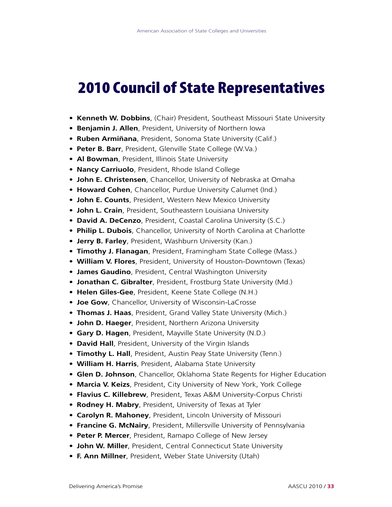## 2010 Council of State Representatives

- **Kenneth W. Dobbins**, (Chair) President, Southeast Missouri State University
- **Benjamin J. Allen**, President, University of Northern Iowa
- **Ruben Armiñana**, President, Sonoma State University (Calif.)
- **Peter B. Barr**, President, Glenville State College (W.Va.)
- **Al Bowman**, President, Illinois State University
- **Nancy Carriuolo**, President, Rhode Island College
- **John E. Christensen**, Chancellor, University of Nebraska at Omaha
- **Howard Cohen**, Chancellor, Purdue University Calumet (Ind.)
- **John E. Counts**, President, Western New Mexico University
- **John L. Crain**, President, Southeastern Louisiana University
- **David A. DeCenzo**, President, Coastal Carolina University (S.C.)
- **Philip L. Dubois**, Chancellor, University of North Carolina at Charlotte
- **Jerry B. Farley**, President, Washburn University (Kan.)
- **Timothy J. Flanagan**, President, Framingham State College (Mass.)
- **William V. Flores**, President, University of Houston-Downtown (Texas)
- **James Gaudino**, President, Central Washington University
- **Jonathan C. Gibralter**, President, Frostburg State University (Md.)
- **Helen Giles-Gee**, President, Keene State College (N.H.)
- **Joe Gow**, Chancellor, University of Wisconsin-LaCrosse
- **Thomas J. Haas**, President, Grand Valley State University (Mich.)
- **John D. Haeger**, President, Northern Arizona University
- **Gary D. Hagen**, President, Mayville State University (N.D.)
- **David Hall**, President, University of the Virgin Islands
- **Timothy L. Hall**, President, Austin Peay State University (Tenn.)
- **William H. Harris**, President, Alabama State University
- **Glen D. Johnson**, Chancellor, Oklahoma State Regents for Higher Education
- **Marcia V. Keizs**, President, City University of New York, York College
- **Flavius C. Killebrew**, President, Texas A&M University-Corpus Christi
- **Rodney H. Mabry**, President, University of Texas at Tyler
- **Carolyn R. Mahoney**, President, Lincoln University of Missouri
- **Francine G. McNairy**, President, Millersville University of Pennsylvania
- **Peter P. Mercer**, President, Ramapo College of New Jersey
- **John W. Miller**, President, Central Connecticut State University
- **F. Ann Millner**, President, Weber State University (Utah)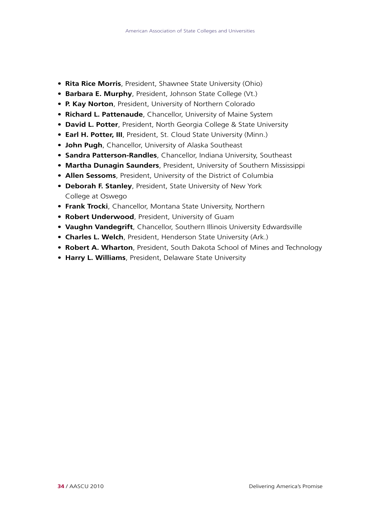- **Rita Rice Morris**, President, Shawnee State University (Ohio)
- **Barbara E. Murphy**, President, Johnson State College (Vt.)
- **P. Kay Norton**, President, University of Northern Colorado
- **Richard L. Pattenaude**, Chancellor, University of Maine System
- **David L. Potter**, President, North Georgia College & State University
- **Earl H. Potter, III**, President, St. Cloud State University (Minn.)
- **John Pugh**, Chancellor, University of Alaska Southeast
- **Sandra Patterson-Randles**, Chancellor, Indiana University, Southeast
- **Martha Dunagin Saunders**, President, University of Southern Mississippi
- **Allen Sessoms**, President, University of the District of Columbia
- **Deborah F. Stanley**, President, State University of New York College at Oswego
- **Frank Trocki**, Chancellor, Montana State University, Northern
- **Robert Underwood**, President, University of Guam
- **Vaughn Vandegrift**, Chancellor, Southern Illinois University Edwardsville
- **Charles L. Welch**, President, Henderson State University (Ark.)
- **Robert A. Wharton**, President, South Dakota School of Mines and Technology
- **Harry L. Williams**, President, Delaware State University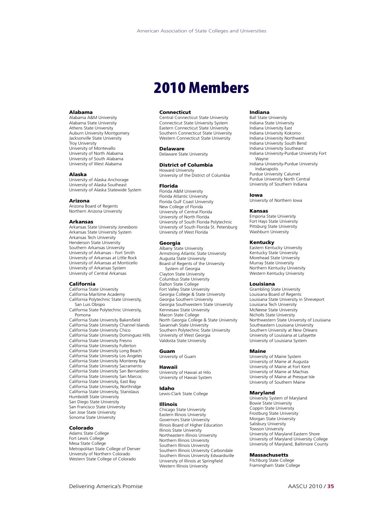## 2010 Members

#### Alabama

Alabama A&M University Alabama State University Athens State University Auburn University Montgomery Jacksonville State University Troy University University of Montevallo University of North Alabama University of South Alabama University of West Alabama

#### Alaska

University of Alaska Anchorage University of Alaska Southeast University of Alaska Statewide System

#### Arizona

Arizona Board of Regents Northern Arizona University

#### Arkansas

Arkansas State University Jonesboro Arkansas State University System Arkansas Tech University Henderson State University Southern Arkansas University University of Arkansas - Fort Smith University of Arkansas at Little Rock University of Arkansas at Monticello University of Arkansas System University of Central Arkansas

#### California

California State University California Maritime Academy California Polytechnic State University, San Luis Obispo California State Polytechnic University, Pomona California State University Bakersfield California State University Channel Islands California State University Chico California State University Dominguez Hills California State University Fresno California State University Fullerton California State University Long Beach California State University Los Angeles California State University Monterey Bay California State University Sacramento California State University San Bernardino California State University San Marcos California State University, East Bay California State University, Northridge California State University, Stanislaus Humboldt State University San Diego State University San Francisco State University San Jose State University Sonoma State University

#### Colorado

Adams State College Fort Lewis College Mesa State College Metropolitan State College of Denver University of Northern Colorado Western State College of Colorado

#### Connecticut

Central Connecticut State University Connecticut State University System Eastern Connecticut State University Southern Connecticut State University Western Connecticut State University

#### Delaware

Delaware State University

#### District of Columbia

Howard University University of the District of Columbia

#### Florida

Florida A&M University Florida Atlantic University Florida Gulf Coast University New College of Florida University of Central Florida University of North Florida University of South Florida Polytechnic University of South Florida St. Petersburg University of West Florida

#### Georgia

Albany State University Armstrong Atlantic State University Augusta State University Board of Regents of the University System of Georgia Clayton State University Columbus State University Dalton State College Fort Valley State University Georgia College & State University Georgia Southern University Georgia Southwestern State University Kennesaw State University Macon State College North Georgia College & State University Savannah State University Southern Polytechnic State University University of West Georgia Valdosta State University

#### Guam

University of Guam

#### Hawaii

University of Hawaii at Hilo University of Hawaii System

#### Idaho

Lewis-Clark State College

#### Illinois

Chicago State University Eastern Illinois University Governors State University Illinois Board of Higher Education Illinois State University Northeastern Illinois University Northern Illinois University Southern Illinois University Southern Illinois University Carbondale Southern Illinois University Edwardsville University of Illinois at Springfield Western Illinois University

#### Indiana

Ball State University Indiana State University Indiana University East Indiana University Kokomo Indiana University Northwest Indiana University South Bend Indiana University Southeast Indiana University-Purdue University Fort Wayne Indiana University-Purdue University Indianapolis Purdue University Calumet Purdue University North Central University of Southern Indiana

#### Iowa

University of Northern Iowa

#### Kansas

Emporia State University Fort Hays State University Pittsburg State University Washburn University

#### Kentucky

Eastern Kentucky University Kentucky State University Morehead State University Murray State University Northern Kentucky University Western Kentucky University

#### Louisiana

Grambling State University Louisiana Board of Regents Louisiana State University in Shreveport Louisiana Tech University McNeese State University Nicholls State University Northwestern State University of Louisiana Southeastern Louisiana University Southern University at New Orleans University of Louisiana at Lafayette University of Louisiana System

#### Maine

University of Maine System University of Maine at Augusta University of Maine at Fort Kent University of Maine at Machias University of Maine at Presque Isle University of Southern Maine

#### Maryland

University System of Maryland Bowie State University Coppin State University Frostburg State University Morgan State University Salisbury University Towson University University of Maryland Eastern Shore University of Maryland University College University of Maryland, Baltimore County

#### Massachusetts

Fitchburg State College Framingham State College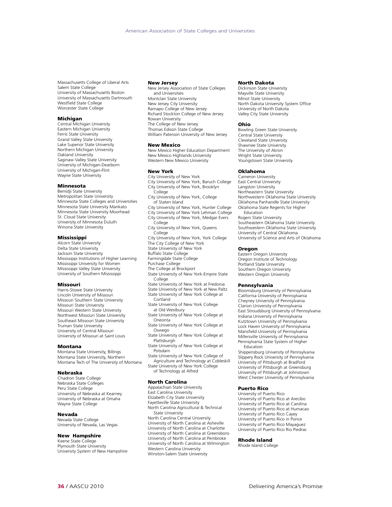Massachusetts College of Liberal Arts Salem State College University of Massachusetts Boston University of Massachusetts Dartmouth Westfield State College Worcester State College

#### **Michigan**

Central Michigan University Eastern Michigan University Ferris State University Grand Valley State University Lake Superior State University Northern Michigan University Oakland University Saginaw Valley State University University of Michigan-Dearborn University of Michigan-Flint Wayne State University

#### Minnesota

Bemidji State University Metropolitan State University Minnesota State Colleges and Universities Minnesota State University Mankato Minnesota State University Moorhead St. Cloud State University University of Minnesota Duluth Winona State University

#### Mississippi

Alcorn State University Delta State University Jackson State University Mississippi Institutions of Higher Learning Mississippi University for Women Mississippi Valley State University University of Southern Mississippi

#### Missouri

Harris-Stowe State University Lincoln University of Missouri Missouri Southern State University Missouri State University Missouri Western State University Northwest Missouri State University Southeast Missouri State University Truman State University University of Central Missouri University of Missouri at Saint Louis

#### Montana

Montana State University, Billings Montana State University, Northern Montana Tech of The University of Montana

#### Nebraska

Chadron State College Nebraska State Colleges Peru State College University of Nebraska at Kearney University of Nebraska at Omaha Wayne State College

#### Nevada

Nevada State College University of Nevada, Las Vegas

#### New Hampshire

Keene State College Plymouth State University University System of New Hampshire

#### New Jersey

New Jersey Association of State Colleges and Universities Montclair State University New Jersey City University Ramapo College of New Jersey Richard Stockton College of New Jersey Rowan University The College of New Jersey Thomas Edison State College William Paterson University of New Jersey

#### New Mexico

New Mexico Higher Education Department New Mexico Highlands University Western New Mexico University

#### New York

City University of New York City University of New York, Baruch College City University of New York, Brooklyn **College** City University of New York, College of Staten Island City University of New York, Hunter College City University of New York Lehman College City University of New York, Medgar Evers College City University of New York, Queens .<br>College City University of New York, York College The City College of New York State University of New York Buffalo State College Farmingdale State College Purchase College The College at Brockport State University of New York-Empire State College State University of New York at Fredonia State University of New York at New Paltz State University of New York College at Cortland State University of New York College at Old Westbury State University of New York College at Oneonta State University of New York College at Oswego State University of New York College at **Plattsburgh** State University of New York College at Potsdam

State University of New York College of Agriculture and Technology at Cobleskill State University of New York College of Technology at Alfred

#### North Carolina

Appalachian State University East Carolina University Elizabeth City State University Fayetteville State University North Carolina Agricultural & Technical State University North Carolina Central University University of North Carolina at Asheville University of North Carolina at Charlotte University of North Carolina at Greensboro University of North Carolina at Pembroke University of North Carolina at Wilmington Western Carolina University Winston-Salem State University

#### North Dakota

Dickinson State University Mayville State University Minot State University North Dakota University System Office University of North Dakota Valley City State University

#### Ohio

Bowling Green State University Central State University Cleveland State University Shawnee State University The University of Akron Wright State University Youngstown State University

#### Oklahoma

Cameron University East Central University Langston University Northeastern State University Northwestern Oklahoma State University Oklahoma Panhandle State University Oklahoma State Regents for Higher Education Rogers State University Southeastern Oklahoma State University Southwestern Oklahoma State University University of Central Oklahoma University of Science and Arts of Oklahoma

#### **Oregon**

Eastern Oregon University Oregon Institute of Technology Portland State University Southern Oregon University Western Oregon University

#### Pennsylvania

Bloomsburg University of Pennsylvania California University of Pennsylvania Cheyney University of Pennsylvania Clarion University of Pennsylvania East Stroudsburg University of Pennsylvania Indiana University of Pennsylvania Kutztown University of Pennsylvania Lock Haven University of Pennsylvania Mansfield University of Pennsylvania Millersville University of Pennsylvania Pennsylvania State System of Higher Education

Shippensburg University of Pennsylvania Slippery Rock University of Pennsylvania University of Pittsburgh at Bradford University of Pittsburgh at Greensburg University of Pittsburgh at Johnstown West Chester University of Pennsylvania

#### Puerto Rico

University of Puerto Rico University of Puerto Rico at Arecibo University of Puerto Rico at Carolina University of Puerto Rico at Humacao University of Puerto Rico Cayey University of Puerto Rico in Ponce University of Puerto Rico Mayaguez University of Puerto Rico Rio Piedras

#### Rhode Island

Rhode Island College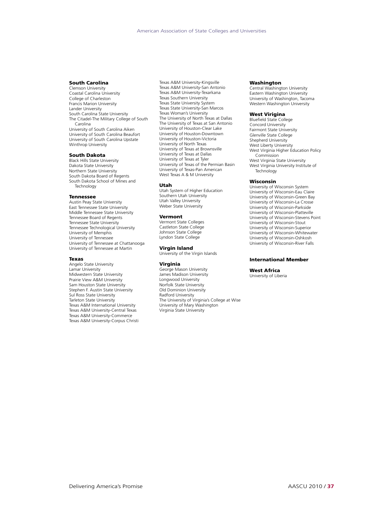#### South Carolina

Clemson University Coastal Carolina University College of Charleston Francis Marion University Lander University South Carolina State University The Citadel-The Military College of South Carolina University of South Carolina Aiken University of South Carolina Beaufort University of South Carolina Upstate Winthrop University

#### South Dakota

Black Hills State University Dakota State University Northern State University South Dakota Board of Regents South Dakota School of Mines and Technology

#### Tennessee

Austin Peay State University East Tennessee State University Middle Tennessee State University Tennessee Board of Regents Tennessee State University Tennessee Technological University University of Memphis University of Tennessee University of Tennessee at Chattanooga University of Tennessee at Martin

#### Texas

Angelo State University Lamar University Midwestern State University Prairie View A&M University Sam Houston State University Stephen F. Austin State University Sul Ross State University Tarleton State University Texas A&M International University Texas A&M University-Central Texas Texas A&M University-Commerce Texas A&M University-Corpus Christi Texas A&M University-Kingsville Texas A&M University-San Antonio Texas A&M University-Texarkana Texas Southern University Texas State University System Texas State University-San Marcos Texas Woman's University The University of North Texas at Dallas The University of Texas at San Antonio University of Houston-Clear Lake University of Houston-Downtown University of Houston-Victoria University of North Texas University of Texas at Brownsville University of Texas at Dallas University of Texas at Tyler University of Texas of the Permian Basin University of Texas-Pan American West Texas A & M University

#### Utah

Utah System of Higher Education Southern Utah University Utah Valley University Weber State University

#### Vermont

Vermont State Colleges Castleton State College Johnson State College Lyndon State College

#### Virgin Island

University of the Virgin Islands

**Virginia**<br>George Mason University James Madison University Longwood University Norfolk State University Old Dominion University Radford University The University of Virginia's College at Wise University of Mary Washington Virginia State University

#### Washington

Central Washington University Eastern Washington University University of Washington, Tacoma Western Washington University

#### West Virigina

Bluefield State College Concord University Fairmont State University Glenville State College Shepherd University West Liberty University West Virginia Higher Education Policy Commission West Virginia State University West Virginia University Institute of **Technology** 

#### Wisconsin

University of Wisconsin System University of Wisconsin-Eau Claire University of Wisconsin-Green Bay University of Wisconsin-La Crosse University of Wisconsin-Parkside University of Wisconsin-Platteville University of Wisconsin-Stevens Point University of Wisconsin-Stout University of Wisconsin-Superior University of Wisconsin-Whitewater University of Wisconsin-Oshkosh University of Wisconsin-River Falls

#### International Member

#### West Africa

University of Liberia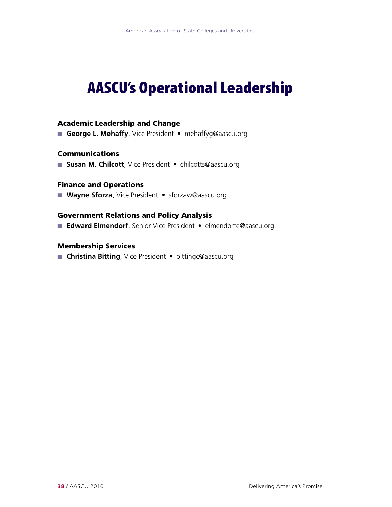## AASCU's Operational Leadership

## Academic Leadership and Change

■ George L. Mehaffy, Vice President • mehaffyg@aascu.org

## Communications

■ Susan M. Chilcott, Vice President • chilcotts@aascu.org

## Finance and Operations

■ Wayne Sforza, Vice President • sforzaw@aascu.org

## Government Relations and Policy Analysis

■ Edward Elmendorf, Senior Vice President • elmendorfe@aascu.org

## Membership Services

n **Christina Bitting**, Vice President • bittingc@aascu.org